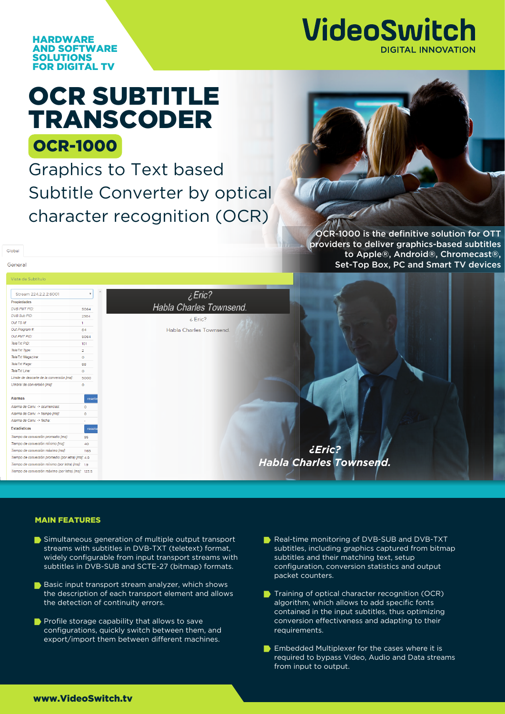

**HARDWARE** AND SOFTWARE SOLUTIONS FOR DIGITAL TV

## OCR-1000 OCR SUBTITLE TRANSCODER

Graphics to Text based Subtitle Converter by optical character recognition (OCR)



OCR-1000 is the definitive solution for OTT providers to deliver graphics-based subtitles to Apple®, Android®, Chromecast®, Set-Top Box, PC and Smart TV devices

Global General

## Vista de Sub

| Stream 224.2.2.2:6001                               |                |
|-----------------------------------------------------|----------------|
| Propiedades                                         |                |
| DVB PMT PID:                                        | 5064           |
| DVB Sub PID:                                        | 2584           |
| Out TS Id:                                          | $\mathbf{1}$   |
| Out Program #:                                      | 64             |
| Out PMT PID:                                        | 5064           |
| TeleTxt PID:                                        | 101            |
| TeleTxt Type:                                       | $\overline{2}$ |
| TeleTxt Magazine:                                   | $\circ$        |
| TeleTxt Page:                                       | 88             |
| TeleTxt Line:                                       | $\circ$        |
| Límite de descarte de la conversión [ms]:           | 5000           |
| Umbral de conversión [ms]:                          | $\circ$        |
| <b>Alarmas</b>                                      | resete         |
| Alarma de Conv. -> ocurrencias:                     | $\Omega$       |
| Alarma de Conv. -> tiempo [ms]:                     | $\circ$        |
| Alarma de Conv. -> fecha:                           |                |
| <b>Estadísticas</b>                                 | resete         |
| Tiempo de conversión promedio [ms]:                 | 95             |
| Tiempo de conversión mínimo [ms]:                   | 40             |
| Tiempo de conversión máximo [ms]:                   | 1165           |
| Tiempo de conversión promedio (por letra) [ms]: 4.9 |                |
| Tiempo de conversión mínimo (por letra) [ms]: 1.9   |                |
| Tiempo de conversión máximo (por letra) [ms]: 123.5 |                |

## MAIN FEATURES

- Simultaneous generation of multiple output transport streams with subtitles in DVB-TXT (teletext) format, widely configurable from input transport streams with subtitles in DVB-SUB and SCTE-27 (bitmap) formats.
- Basic input transport stream analyzer, which shows the description of each transport element and allows the detection of continuity errors.
- **Profile storage capability that allows to save** configurations, quickly switch between them, and export/import them between different machines.
- Real-time monitoring of DVB-SUB and DVB-TXT subtitles, including graphics captured from bitmap subtitles and their matching text, setup configuration, conversion statistics and output packet counters.
- Training of optical character recognition (OCR) algorithm, which allows to add specific fonts contained in the input subtitles, thus optimizing conversion effectiveness and adapting to their requirements.
- **Embedded Multiplexer for the cases where it is** required to bypass Video, Audio and Data streams from input to output.